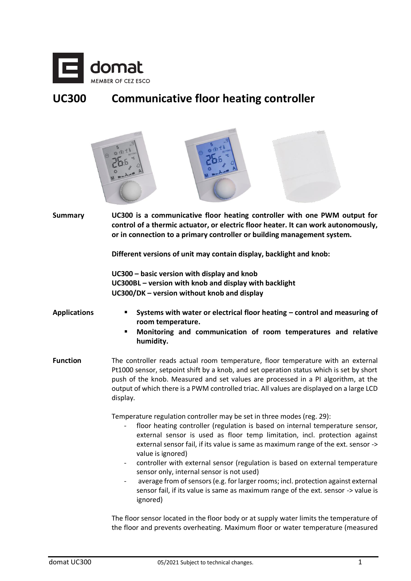

# **UC300 Communicative floor heating controller**



**Summary UC300 is a communicative floor heating controller with one PWM output for control of a thermic actuator, or electric floor heater. It can work autonomously, or in connection to a primary controller or building management system.**

**Different versions of unit may contain display, backlight and knob:**

**UC300 – basic version with display and knob UC300BL – version with knob and display with backlight UC300/DK – version without knob and display**

#### **Applications** ▪ **Systems with water or electrical floor heating – control and measuring of room temperature.**

- **Monitoring and communication of room temperatures and relative humidity.**
- Function The controller reads actual room temperature, floor temperature with an external Pt1000 sensor, setpoint shift by a knob, and set operation status which is set by short push of the knob. Measured and set values are processed in a PI algorithm, at the output of which there is a PWM controlled triac. All values are displayed on a large LCD display.

Temperature regulation controller may be set in three modes (reg. 29):

- floor heating controller (regulation is based on internal temperature sensor, external sensor is used as floor temp limitation, incl. protection against external sensor fail, if its value is same as maximum range of the ext. sensor -> value is ignored)
- controller with external sensor (regulation is based on external temperature sensor only, internal sensor is not used)
- average from of sensors (e.g. for larger rooms; incl. protection against external sensor fail, if its value is same as maximum range of the ext. sensor -> value is ignored)

The floor sensor located in the floor body or at supply water limits the temperature of the floor and prevents overheating. Maximum floor or water temperature (measured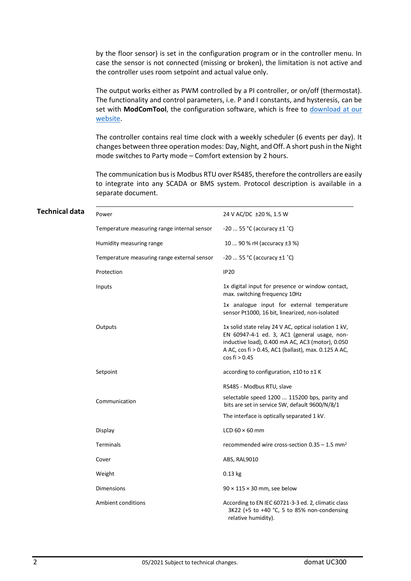by the floor sensor) is set in the configuration program or in the controller menu. In case the sensor is not connected (missing or broken), the limitation is not active and the controller uses room setpoint and actual value only.

The output works either as PWM controlled by a PI controller, or on/off (thermostat). The functionality and control parameters, i.e. P and I constants, and hysteresis, can be set with **ModComTool**, the configuration software, which is free to download at our [website.](http://domat-int.com/en/software)

The controller contains real time clock with a weekly scheduler (6 events per day). It changes between three operation modes: Day, Night, and Off. A short push in the Night mode switches to Party mode – Comfort extension by 2 hours.

The communication bus is Modbus RTU over RS485, therefore the controllers are easily to integrate into any SCADA or BMS system. Protocol description is available in a separate document.

| Technical data | Power                                       | 24 V AC/DC ±20 %, 1.5 W                                                                                                                                                                                                            |
|----------------|---------------------------------------------|------------------------------------------------------------------------------------------------------------------------------------------------------------------------------------------------------------------------------------|
|                | Temperature measuring range internal sensor | -20  55 °C (accuracy $\pm 1$ °C)                                                                                                                                                                                                   |
|                | Humidity measuring range                    | 10  90 % rH (accuracy ±3 %)                                                                                                                                                                                                        |
|                | Temperature measuring range external sensor | $-2055$ °C (accuracy $\pm 1$ °C)                                                                                                                                                                                                   |
|                | Protection                                  | <b>IP20</b>                                                                                                                                                                                                                        |
|                | Inputs                                      | 1x digital input for presence or window contact,<br>max. switching frequency 10Hz                                                                                                                                                  |
|                |                                             | 1x analogue input for external temperature<br>sensor Pt1000, 16 bit, linearized, non-isolated                                                                                                                                      |
|                | Outputs                                     | 1x solid state relay 24 V AC, optical isolation 1 kV,<br>EN 60947-4-1 ed. 3, AC1 (general usage, non-<br>inductive load), 0.400 mA AC, AC3 (motor), 0.050<br>A AC, cos fi > 0.45, AC1 (ballast), max. 0.125 A AC,<br>cos fi > 0.45 |
|                | Setpoint                                    | according to configuration, $\pm 10$ to $\pm 1$ K                                                                                                                                                                                  |
|                |                                             | RS485 - Modbus RTU, slave                                                                                                                                                                                                          |
|                | Communication                               | selectable speed 1200  115200 bps, parity and<br>bits are set in service SW, default 9600/N/8/1                                                                                                                                    |
|                |                                             | The interface is optically separated 1 kV.                                                                                                                                                                                         |
|                | Display                                     | LCD $60 \times 60$ mm                                                                                                                                                                                                              |
|                | Terminals                                   | recommended wire cross-section $0.35 - 1.5$ mm <sup>2</sup>                                                                                                                                                                        |
|                | Cover                                       | ABS, RAL9010                                                                                                                                                                                                                       |
|                | Weight                                      | $0.13$ kg                                                                                                                                                                                                                          |
|                | <b>Dimensions</b>                           | $90 \times 115 \times 30$ mm, see below                                                                                                                                                                                            |
|                | Ambient conditions                          | According to EN IEC 60721-3-3 ed. 2, climatic class<br>3K22 (+5 to +40 °C, 5 to 85% non-condensing<br>relative humidity).                                                                                                          |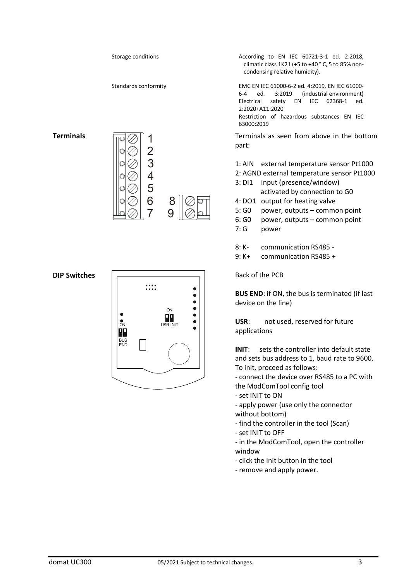

**INIT**: sets the controller into default state and sets bus address to 1, baud rate to 9600. To init, proceed as follows:

- connect the device over RS485 to a PC with the ModComTool config tool

- set INIT to ON

- apply power (use only the connector without bottom)

- find the controller in the tool (Scan)
- set INIT to OFF

- in the ModComTool, open the controller window

- click the Init button in the tool
- remove and apply power.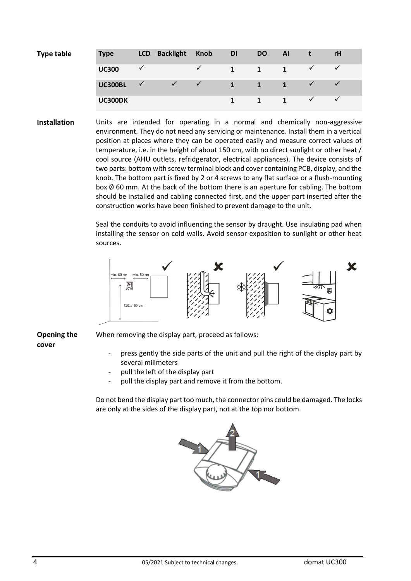| <b>Type table</b> | <b>Type</b>    | <b>LCD</b> | <b>Backlight</b>          | <b>Knob</b>  | <b>DI</b>    | DO           | <b>Al</b>   |              | <b>rH</b> |
|-------------------|----------------|------------|---------------------------|--------------|--------------|--------------|-------------|--------------|-----------|
|                   | <b>UC300</b>   |            |                           | $\checkmark$ | $\mathbf{1}$ | $\mathbf{1}$ | 1           |              |           |
|                   | <b>UC300BL</b> |            | $\checkmark$ $\checkmark$ |              | 1            | $\mathbf{1}$ |             |              |           |
|                   | UC300DK        |            |                           |              |              |              | $\mathbf 1$ | $\checkmark$ |           |

**Installation** Units are intended for operating in a normal and chemically non-aggressive environment. They do not need any servicing or maintenance. Install them in a vertical position at places where they can be operated easily and measure correct values of temperature, i.e. in the height of about 150 cm, with no direct sunlight or other heat / cool source (AHU outlets, refridgerator, electrical appliances). The device consists of two parts: bottom with screw terminal block and cover containing PCB, display, and the knob. The bottom part is fixed by 2 or 4 screws to any flat surface or a flush-mounting box  $\emptyset$  60 mm. At the back of the bottom there is an aperture for cabling. The bottom should be installed and cabling connected first, and the upper part inserted after the construction works have been finished to prevent damage to the unit.

> Seal the conduits to avoid influencing the sensor by draught. Use insulating pad when installing the sensor on cold walls. Avoid sensor exposition to sunlight or other heat sources.



**Opening the cover**

When removing the display part, proceed as follows:

- press gently the side parts of the unit and pull the right of the display part by several milimeters
- pull the left of the display part
- pull the display part and remove it from the bottom.

Do not bend the display part too much, the connector pins could be damaged. The locks are only at the sides of the display part, not at the top nor bottom.

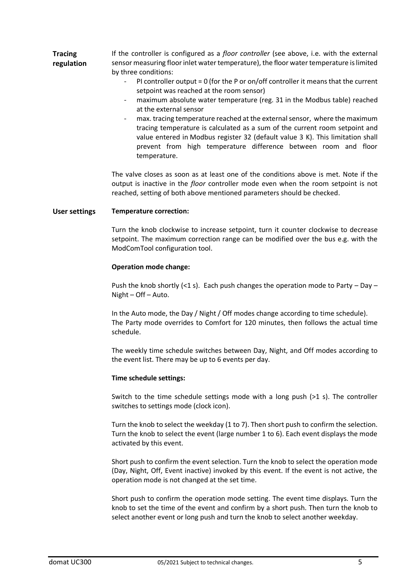| <b>Tracing</b> | If the controller is configured as a <i>floor controller</i> (see above, i.e. with the external |
|----------------|-------------------------------------------------------------------------------------------------|
| regulation     | sensor measuring floor inlet water temperature), the floor water temperature is limited         |
|                | by three conditions:                                                                            |

- $PI$  controller output = 0 (for the P or on/off controller it means that the current setpoint was reached at the room sensor)
- maximum absolute water temperature (reg. 31 in the Modbus table) reached at the external sensor
- max. tracing temperature reached at the external sensor, where the maximum tracing temperature is calculated as a sum of the current room setpoint and value entered in Modbus register 32 (default value 3 K). This limitation shall prevent from high temperature difference between room and floor temperature.

The valve closes as soon as at least one of the conditions above is met. Note if the output is inactive in the *floor* controller mode even when the room setpoint is not reached, setting of both above mentioned parameters should be checked.

## **User settings Temperature correction:**

Turn the knob clockwise to increase setpoint, turn it counter clockwise to decrease setpoint. The maximum correction range can be modified over the bus e.g. with the ModComTool configuration tool.

## **Operation mode change:**

Push the knob shortly (<1 s). Each push changes the operation mode to Party – Day – Night – Off – Auto.

In the Auto mode, the Day / Night / Off modes change according to time schedule). The Party mode overrides to Comfort for 120 minutes, then follows the actual time schedule.

The weekly time schedule switches between Day, Night, and Off modes according to the event list. There may be up to 6 events per day.

## **Time schedule settings:**

Switch to the time schedule settings mode with a long push (>1 s). The controller switches to settings mode (clock icon).

Turn the knob to select the weekday (1 to 7). Then short push to confirm the selection. Turn the knob to select the event (large number 1 to 6). Each event displays the mode activated by this event.

Short push to confirm the event selection. Turn the knob to select the operation mode (Day, Night, Off, Event inactive) invoked by this event. If the event is not active, the operation mode is not changed at the set time.

Short push to confirm the operation mode setting. The event time displays. Turn the knob to set the time of the event and confirm by a short push. Then turn the knob to select another event or long push and turn the knob to select another weekday.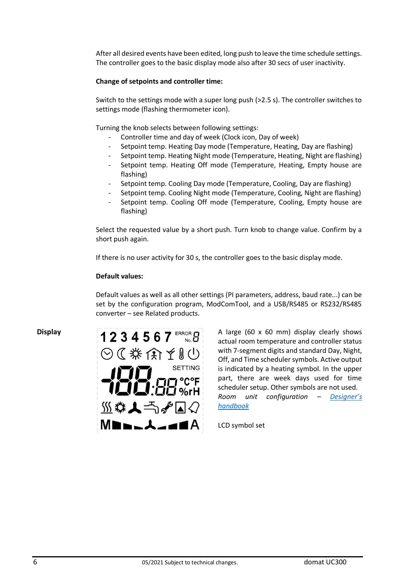After all desired events have been edited, long push to leave the time schedule settings. The controller goes to the basic display mode also after 30 secs of user inactivity.

## **Change of setpoints and controller time:**

Switch to the settings mode with a super long push (>2.5 s). The controller switches to settings mode (flashing thermometer icon).

Turning the knob selects between following settings:

- Controller time and day of week (Clock icon, Day of week)
- Setpoint temp. Heating Day mode (Temperature, Heating, Day are flashing)
- Setpoint temp. Heating Night mode (Temperature, Heating, Night are flashing)
- Setpoint temp. Heating Off mode (Temperature, Heating, Empty house are flashing)
- Setpoint temp. Cooling Day mode (Temperature, Cooling, Day are flashing)
- Setpoint temp. Cooling Night mode (Temperature, Cooling, Night are flashing)
- Setpoint temp. Cooling Off mode (Temperature, Cooling, Empty house are flashing)

Select the requested value by a short push. Turn knob to change value. Confirm by a short push again.

If there is no user activity for 30 s, the controller goes to the basic display mode.

## **Default values:**

Default values as well as all other settings (PI parameters, address, baud rate...) can be set by the configuration program, ModComTool, and a USB/RS485 or RS232/RS485 converter – see Related products.



**Display 1234567** ERROR **A** large (60 x 60 mm) display clearly shows actual room temperature and controller status with 7-segment digits and standard Day, Night, Off, and Time scheduler symbols. Active output is indicated by a heating symbol. In the upper part, there are week days used for time scheduler setup. Other symbols are not used. *Room unit configuration – [Designer's](https://domat.blob.core.windows.net/cms/UserFiles/wp-content/uploads/domat%20design%20en%20201906.pdf)  [handbook](https://domat.blob.core.windows.net/cms/UserFiles/wp-content/uploads/domat%20design%20en%20201906.pdf)*

LCD symbol set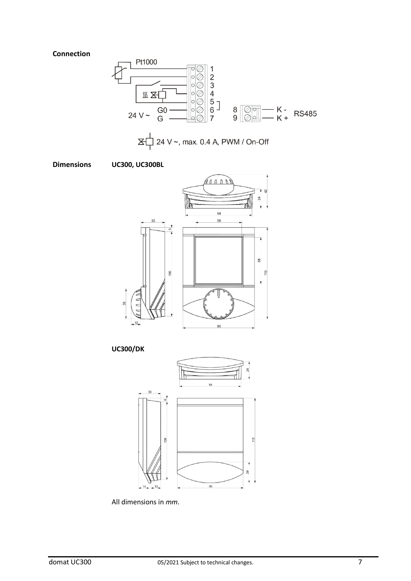## **Connection**











All dimensions in *mm*.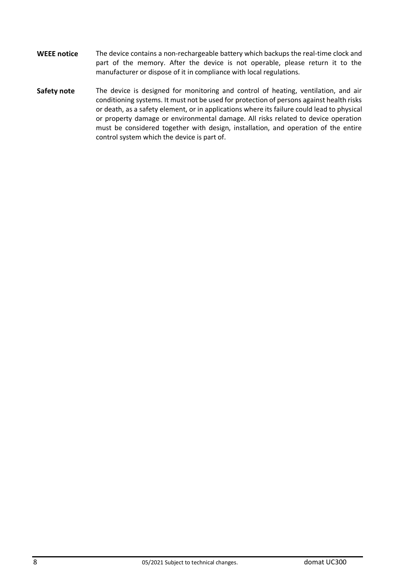- **WEEE notice** The device contains a non-rechargeable battery which backups the real-time clock and part of the memory. After the device is not operable, please return it to the manufacturer or dispose of it in compliance with local regulations.
- **Safety note** The device is designed for monitoring and control of heating, ventilation, and air conditioning systems. It must not be used for protection of persons against health risks or death, as a safety element, or in applications where its failure could lead to physical or property damage or environmental damage. All risks related to device operation must be considered together with design, installation, and operation of the entire control system which the device is part of.